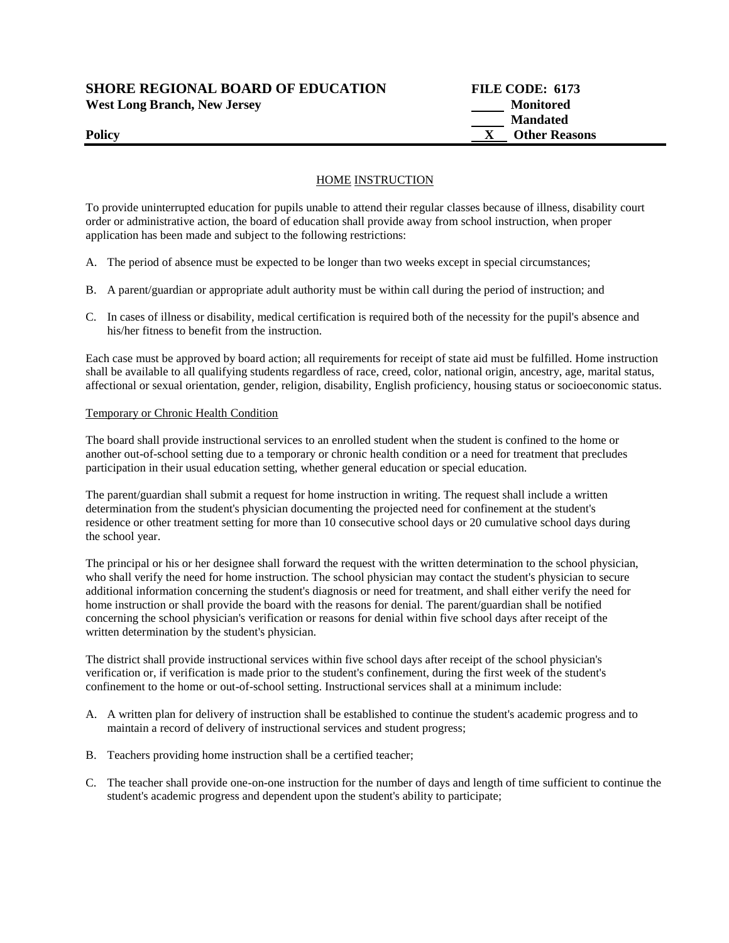# **SHORE REGIONAL BOARD OF EDUCATION FILE CODE: 6173**  West Long Branch, New Jersey **Monitored** Monitored

 **Mandated Policy X** Other Reasons

## HOME INSTRUCTION

To provide uninterrupted education for pupils unable to attend their regular classes because of illness, disability court order or administrative action, the board of education shall provide away from school instruction, when proper application has been made and subject to the following restrictions:

- A. The period of absence must be expected to be longer than two weeks except in special circumstances;
- B. A parent/guardian or appropriate adult authority must be within call during the period of instruction; and
- C. In cases of illness or disability, medical certification is required both of the necessity for the pupil's absence and his/her fitness to benefit from the instruction.

Each case must be approved by board action; all requirements for receipt of state aid must be fulfilled. Home instruction shall be available to all qualifying students regardless of race, creed, color, national origin, ancestry, age, marital status, affectional or sexual orientation, gender, religion, disability, English proficiency, housing status or socioeconomic status.

#### Temporary or Chronic Health Condition

The board shall provide instructional services to an enrolled student when the student is confined to the home or another out-of-school setting due to a temporary or chronic health condition or a need for treatment that precludes participation in their usual education setting, whether general education or special education.

The parent/guardian shall submit a request for home instruction in writing. The request shall include a written determination from the student's physician documenting the projected need for confinement at the student's residence or other treatment setting for more than 10 consecutive school days or 20 cumulative school days during the school year.

The principal or his or her designee shall forward the request with the written determination to the school physician, who shall verify the need for home instruction. The school physician may contact the student's physician to secure additional information concerning the student's diagnosis or need for treatment, and shall either verify the need for home instruction or shall provide the board with the reasons for denial. The parent/guardian shall be notified concerning the school physician's verification or reasons for denial within five school days after receipt of the written determination by the student's physician.

The district shall provide instructional services within five school days after receipt of the school physician's verification or, if verification is made prior to the student's confinement, during the first week of the student's confinement to the home or out-of-school setting. Instructional services shall at a minimum include:

- A. A written plan for delivery of instruction shall be established to continue the student's academic progress and to maintain a record of delivery of instructional services and student progress;
- B. Teachers providing home instruction shall be a certified teacher;
- C. The teacher shall provide one-on-one instruction for the number of days and length of time sufficient to continue the student's academic progress and dependent upon the student's ability to participate;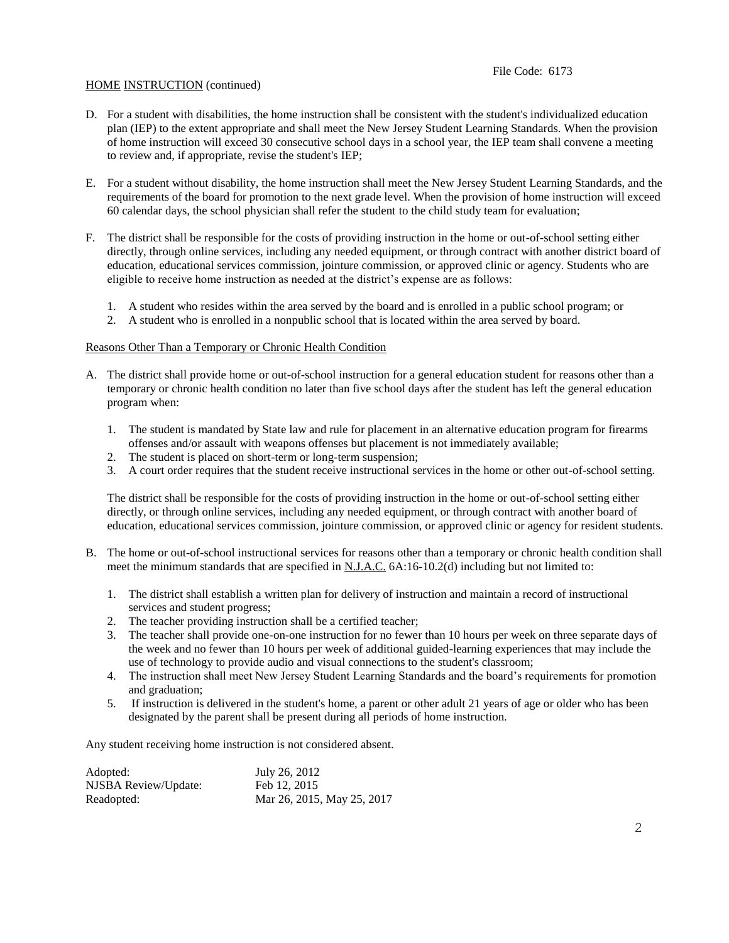#### HOME INSTRUCTION (continued)

- D. For a student with disabilities, the home instruction shall be consistent with the student's individualized education plan (IEP) to the extent appropriate and shall meet the New Jersey Student Learning Standards. When the provision of home instruction will exceed 30 consecutive school days in a school year, the IEP team shall convene a meeting to review and, if appropriate, revise the student's IEP;
- E. For a student without disability, the home instruction shall meet the New Jersey Student Learning Standards, and the requirements of the board for promotion to the next grade level. When the provision of home instruction will exceed 60 calendar days, the school physician shall refer the student to the child study team for evaluation;
- F. The district shall be responsible for the costs of providing instruction in the home or out-of-school setting either directly, through online services, including any needed equipment, or through contract with another district board of education, educational services commission, jointure commission, or approved clinic or agency. Students who are eligible to receive home instruction as needed at the district's expense are as follows:
	- 1. A student who resides within the area served by the board and is enrolled in a public school program; or
	- 2. A student who is enrolled in a nonpublic school that is located within the area served by board.

#### Reasons Other Than a Temporary or Chronic Health Condition

- A. The district shall provide home or out-of-school instruction for a general education student for reasons other than a temporary or chronic health condition no later than five school days after the student has left the general education program when:
	- 1. The student is mandated by State law and rule for placement in an alternative education program for firearms offenses and/or assault with weapons offenses but placement is not immediately available;
	- 2. The student is placed on short-term or long-term suspension;
	- 3. A court order requires that the student receive instructional services in the home or other out-of-school setting.

The district shall be responsible for the costs of providing instruction in the home or out-of-school setting either directly, or through online services, including any needed equipment, or through contract with another board of education, educational services commission, jointure commission, or approved clinic or agency for resident students.

- B. The home or out-of-school instructional services for reasons other than a temporary or chronic health condition shall meet the minimum standards that are specified in  $N.J.A.C. 6A:16-10.2(d)$  including but not limited to:
	- 1. The district shall establish a written plan for delivery of instruction and maintain a record of instructional services and student progress;
	- 2. The teacher providing instruction shall be a certified teacher;
	- 3. The teacher shall provide one-on-one instruction for no fewer than 10 hours per week on three separate days of the week and no fewer than 10 hours per week of additional guided-learning experiences that may include the use of technology to provide audio and visual connections to the student's classroom;
	- 4. The instruction shall meet New Jersey Student Learning Standards and the board's requirements for promotion and graduation;
	- 5. If instruction is delivered in the student's home, a parent or other adult 21 years of age or older who has been designated by the parent shall be present during all periods of home instruction.

Any student receiving home instruction is not considered absent.

| Adopted:             | July 26, 2012              |
|----------------------|----------------------------|
| NJSBA Review/Update: | Feb 12, 2015               |
| Readopted:           | Mar 26, 2015, May 25, 2017 |